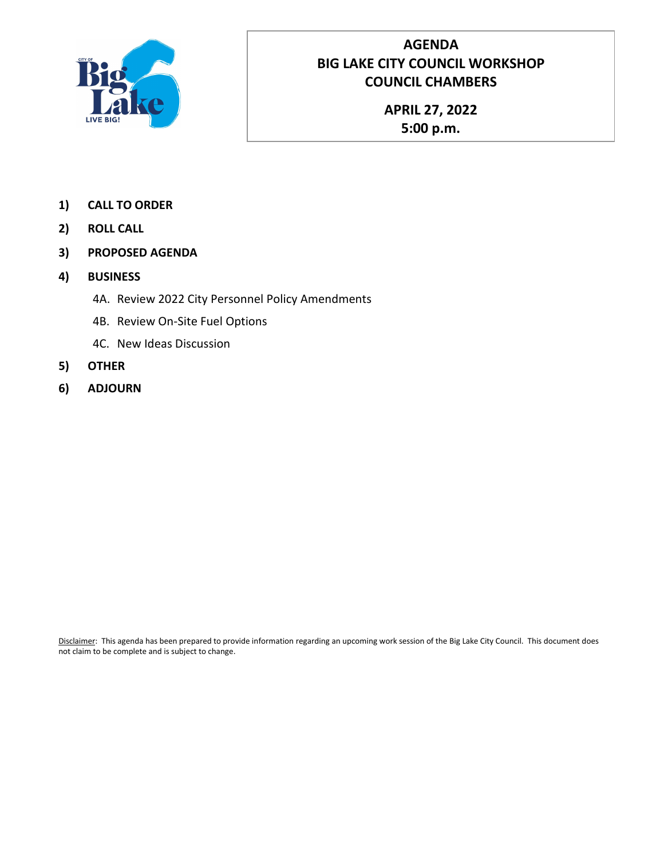

# **AGENDA BIG LAKE CITY COUNCIL WORKSHOP COUNCIL CHAMBERS**

**APRIL 27, 2022 5:00 p.m.**

- **1) CALL TO ORDER**
- **2) ROLL CALL**
- **3) PROPOSED AGENDA**
- **4) BUSINESS**
	- 4A. Review 2022 City Personnel Policy Amendments
	- 4B. Review On-Site Fuel Options
	- 4C. New Ideas Discussion
- **5) OTHER**
- **6) ADJOURN**

Disclaimer: This agenda has been prepared to provide information regarding an upcoming work session of the Big Lake City Council. This document does not claim to be complete and is subject to change.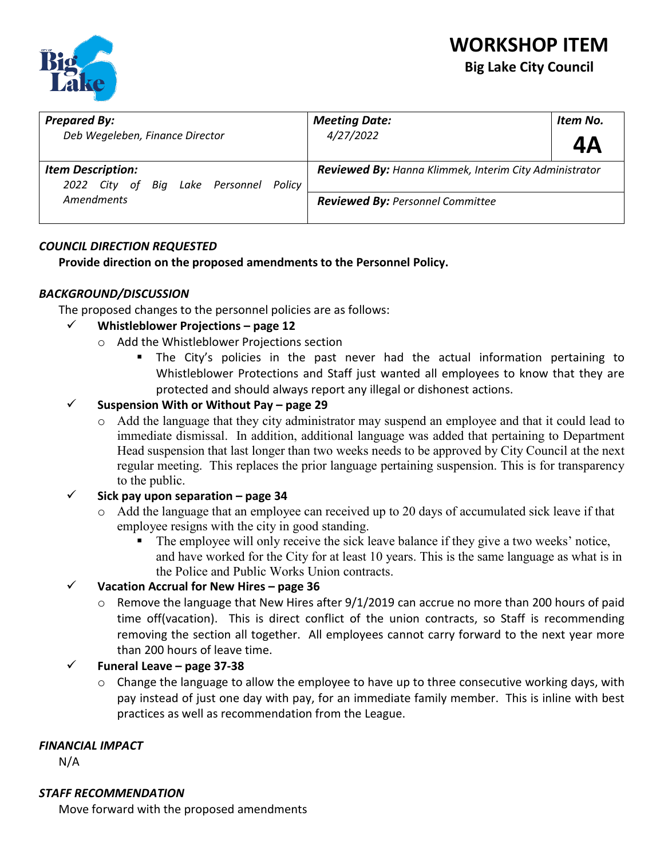

# **WORKSHOP ITEM Big Lake City Council**

| <b>Prepared By:</b><br>Deb Wegeleben, Finance Director                | <b>Meeting Date:</b><br>4/27/2022                                                                 | Item No.<br>4Α |
|-----------------------------------------------------------------------|---------------------------------------------------------------------------------------------------|----------------|
| <b>Item Description:</b><br>2022 City of<br>Big Lake Personnel Policy | Reviewed By: Hanna Klimmek, Interim City Administrator<br><b>Reviewed By: Personnel Committee</b> |                |
| <b>Amendments</b>                                                     |                                                                                                   |                |

#### *COUNCIL DIRECTION REQUESTED*

**Provide direction on the proposed amendments to the Personnel Policy.**

#### *BACKGROUND/DISCUSSION*

The proposed changes to the personnel policies are as follows:

#### **Whistleblower Projections – page 12**

- o Add the Whistleblower Projections section
	- The City's policies in the past never had the actual information pertaining to Whistleblower Protections and Staff just wanted all employees to know that they are protected and should always report any illegal or dishonest actions.

#### **Suspension With or Without Pay – page 29**

o Add the language that they city administrator may suspend an employee and that it could lead to immediate dismissal. In addition, additional language was added that pertaining to Department Head suspension that last longer than two weeks needs to be approved by City Council at the next regular meeting. This replaces the prior language pertaining suspension. This is for transparency to the public.

#### $\checkmark$  Sick pay upon separation – page 34

- $\circ$  Add the language that an employee can received up to 20 days of accumulated sick leave if that employee resigns with the city in good standing.
	- The employee will only receive the sick leave balance if they give a two weeks' notice, and have worked for the City for at least 10 years. This is the same language as what is in the Police and Public Works Union contracts.

#### **Vacation Accrual for New Hires – page 36**

o Remove the language that New Hires after 9/1/2019 can accrue no more than 200 hours of paid time off(vacation). This is direct conflict of the union contracts, so Staff is recommending removing the section all together. All employees cannot carry forward to the next year more than 200 hours of leave time.

**Funeral Leave – page 37-38**

o Change the language to allow the employee to have up to three consecutive working days, with pay instead of just one day with pay, for an immediate family member. This is inline with best practices as well as recommendation from the League.

#### *FINANCIAL IMPACT*

N/A

#### *STAFF RECOMMENDATION*

Move forward with the proposed amendments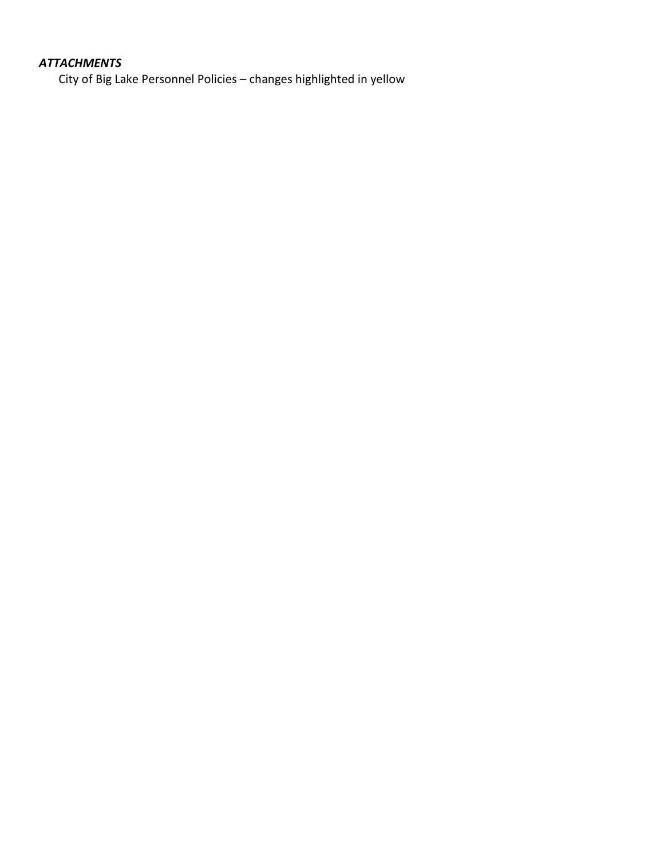### *ATTACHMENTS*

City of Big Lake Personnel Policies – changes highlighted in yellow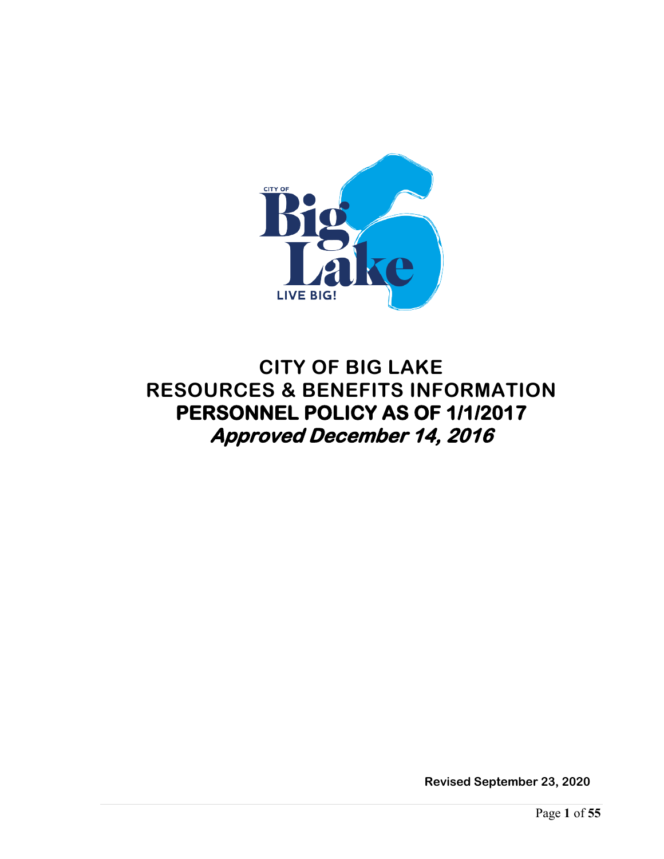

# **CITY OF BIG LAKE RESOURCES & BENEFITS INFORMATION PERSONNEL POLICY AS OF 1/1/2017 Approved December 14, 2016**

**Revised September 23, 2020**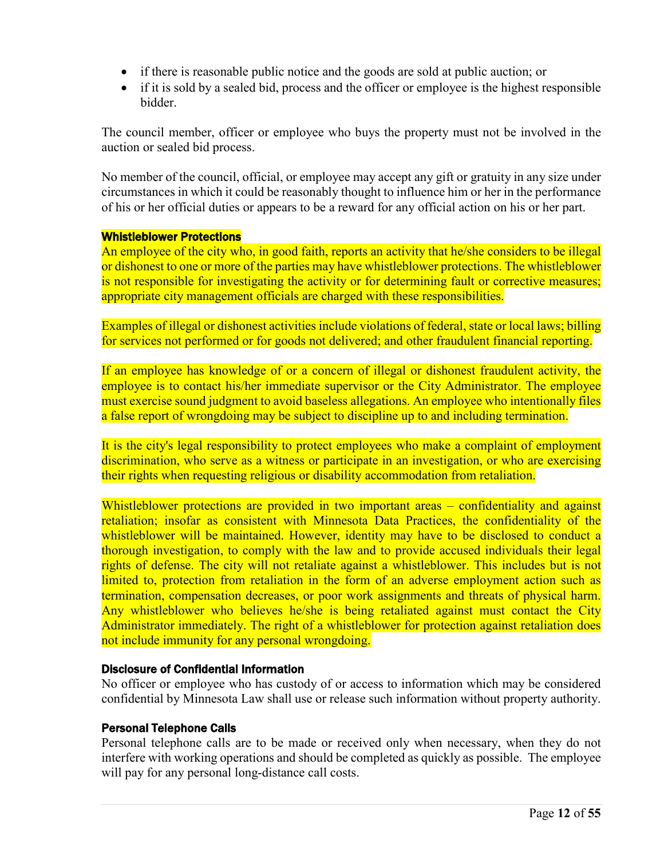- if there is reasonable public notice and the goods are sold at public auction; or
- if it is sold by a sealed bid, process and the officer or employee is the highest responsible bidder.

The council member, officer or employee who buys the property must not be involved in the auction or sealed bid process.

No member of the council, official, or employee may accept any gift or gratuity in any size under circumstances in which it could be reasonably thought to influence him or her in the performance of his or her official duties or appears to be a reward for any official action on his or her part.

#### Whistleblower Protections

An employee of the city who, in good faith, reports an activity that he/she considers to be illegal or dishonest to one or more of the parties may have whistleblower protections. The whistleblower is not responsible for investigating the activity or for determining fault or corrective measures; appropriate city management officials are charged with these responsibilities.

Examples of illegal or dishonest activities include violations of federal, state or local laws; billing for services not performed or for goods not delivered; and other fraudulent financial reporting.

If an employee has knowledge of or a concern of illegal or dishonest fraudulent activity, the employee is to contact his/her immediate supervisor or the City Administrator. The employee must exercise sound judgment to avoid baseless allegations. An employee who intentionally files a false report of wrongdoing may be subject to discipline up to and including termination.

It is the city's legal responsibility to protect employees who make a complaint of employment discrimination, who serve as a witness or participate in an investigation, or who are exercising their rights when requesting religious or disability accommodation from retaliation.

Whistleblower protections are provided in two important areas – confidentiality and against retaliation; insofar as consistent with Minnesota Data Practices, the confidentiality of the whistleblower will be maintained. However, identity may have to be disclosed to conduct a thorough investigation, to comply with the law and to provide accused individuals their legal rights of defense. The city will not retaliate against a whistleblower. This includes but is not limited to, protection from retaliation in the form of an adverse employment action such as termination, compensation decreases, or poor work assignments and threats of physical harm. Any whistleblower who believes he/she is being retaliated against must contact the City Administrator immediately. The right of a whistleblower for protection against retaliation does not include immunity for any personal wrongdoing.

#### Disclosure of Confidential Information

No officer or employee who has custody of or access to information which may be considered confidential by Minnesota Law shall use or release such information without property authority.

#### Personal Telephone Calls

Personal telephone calls are to be made or received only when necessary, when they do not interfere with working operations and should be completed as quickly as possible. The employee will pay for any personal long-distance call costs.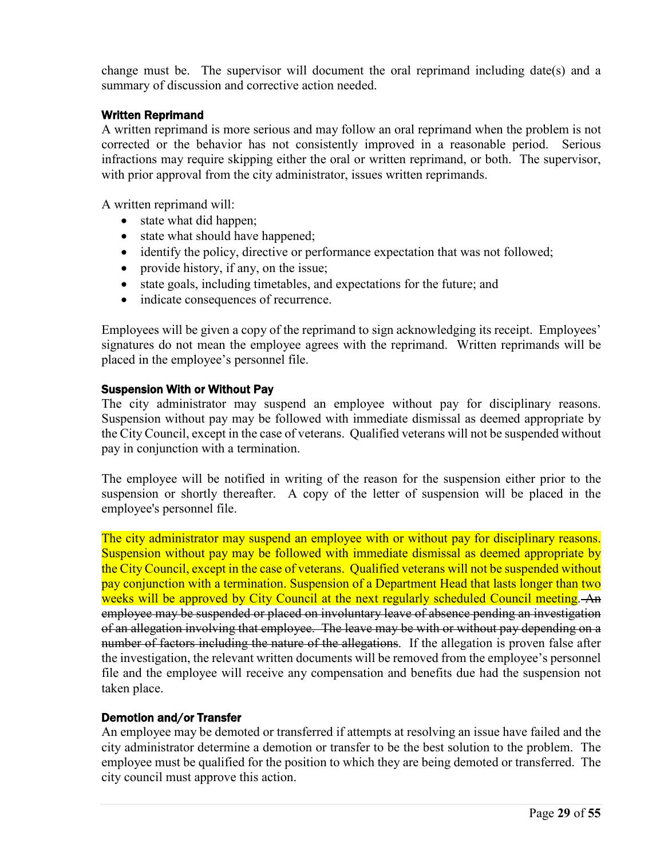change must be. The supervisor will document the oral reprimand including date(s) and a summary of discussion and corrective action needed.

#### Written Reprimand

A written reprimand is more serious and may follow an oral reprimand when the problem is not corrected or the behavior has not consistently improved in a reasonable period. Serious infractions may require skipping either the oral or written reprimand, or both. The supervisor, with prior approval from the city administrator, issues written reprimands.

A written reprimand will:

- state what did happen;
- state what should have happened;
- identify the policy, directive or performance expectation that was not followed;
- provide history, if any, on the issue;
- state goals, including timetables, and expectations for the future; and
- indicate consequences of recurrence.

Employees will be given a copy of the reprimand to sign acknowledging its receipt. Employees' signatures do not mean the employee agrees with the reprimand. Written reprimands will be placed in the employee's personnel file.

#### Suspension With or Without Pay

The city administrator may suspend an employee without pay for disciplinary reasons. Suspension without pay may be followed with immediate dismissal as deemed appropriate by the City Council, except in the case of veterans. Qualified veterans will not be suspended without pay in conjunction with a termination.

The employee will be notified in writing of the reason for the suspension either prior to the suspension or shortly thereafter. A copy of the letter of suspension will be placed in the employee's personnel file.

The city administrator may suspend an employee with or without pay for disciplinary reasons. Suspension without pay may be followed with immediate dismissal as deemed appropriate by the City Council, except in the case of veterans. Qualified veterans will not be suspended without pay conjunction with a termination. Suspension of a Department Head that lasts longer than two weeks will be approved by City Council at the next regularly scheduled Council meeting. An employee may be suspended or placed on involuntary leave of absence pending an investigation of an allegation involving that employee. The leave may be with or without pay depending on a number of factors including the nature of the allegations. If the allegation is proven false after the investigation, the relevant written documents will be removed from the employee's personnel file and the employee will receive any compensation and benefits due had the suspension not taken place.

#### Demotion and/or Transfer

An employee may be demoted or transferred if attempts at resolving an issue have failed and the city administrator determine a demotion or transfer to be the best solution to the problem. The employee must be qualified for the position to which they are being demoted or transferred. The city council must approve this action.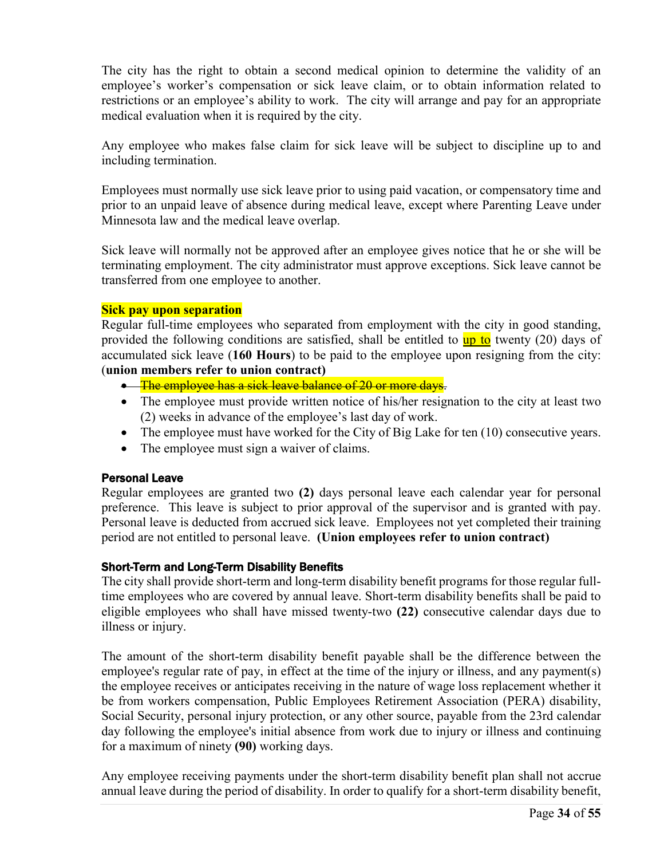The city has the right to obtain a second medical opinion to determine the validity of an employee's worker's compensation or sick leave claim, or to obtain information related to restrictions or an employee's ability to work. The city will arrange and pay for an appropriate medical evaluation when it is required by the city.

Any employee who makes false claim for sick leave will be subject to discipline up to and including termination.

Employees must normally use sick leave prior to using paid vacation, or compensatory time and prior to an unpaid leave of absence during medical leave, except where Parenting Leave under Minnesota law and the medical leave overlap.

Sick leave will normally not be approved after an employee gives notice that he or she will be terminating employment. The city administrator must approve exceptions. Sick leave cannot be transferred from one employee to another.

#### **Sick pay upon separation**

Regular full-time employees who separated from employment with the city in good standing, provided the following conditions are satisfied, shall be entitled to up to twenty (20) days of accumulated sick leave (**160 Hours**) to be paid to the employee upon resigning from the city: (**union members refer to union contract)**

- The employee has a sick leave balance of 20 or more days.
- The employee must provide written notice of his/her resignation to the city at least two (2) weeks in advance of the employee's last day of work.
- The employee must have worked for the City of Big Lake for ten (10) consecutive years.
- The employee must sign a waiver of claims.

#### Personal Leave

Regular employees are granted two **(2)** days personal leave each calendar year for personal preference. This leave is subject to prior approval of the supervisor and is granted with pay. Personal leave is deducted from accrued sick leave. Employees not yet completed their training period are not entitled to personal leave. **(Union employees refer to union contract)**

#### Short-Term and Long-Term Disability Benefits

The city shall provide short-term and long-term disability benefit programs for those regular fulltime employees who are covered by annual leave. Short-term disability benefits shall be paid to eligible employees who shall have missed twenty-two **(22)** consecutive calendar days due to illness or injury.

The amount of the short-term disability benefit payable shall be the difference between the employee's regular rate of pay, in effect at the time of the injury or illness, and any payment(s) the employee receives or anticipates receiving in the nature of wage loss replacement whether it be from workers compensation, Public Employees Retirement Association (PERA) disability, Social Security, personal injury protection, or any other source, payable from the 23rd calendar day following the employee's initial absence from work due to injury or illness and continuing for a maximum of ninety **(90)** working days.

Any employee receiving payments under the short-term disability benefit plan shall not accrue annual leave during the period of disability. In order to qualify for a short-term disability benefit,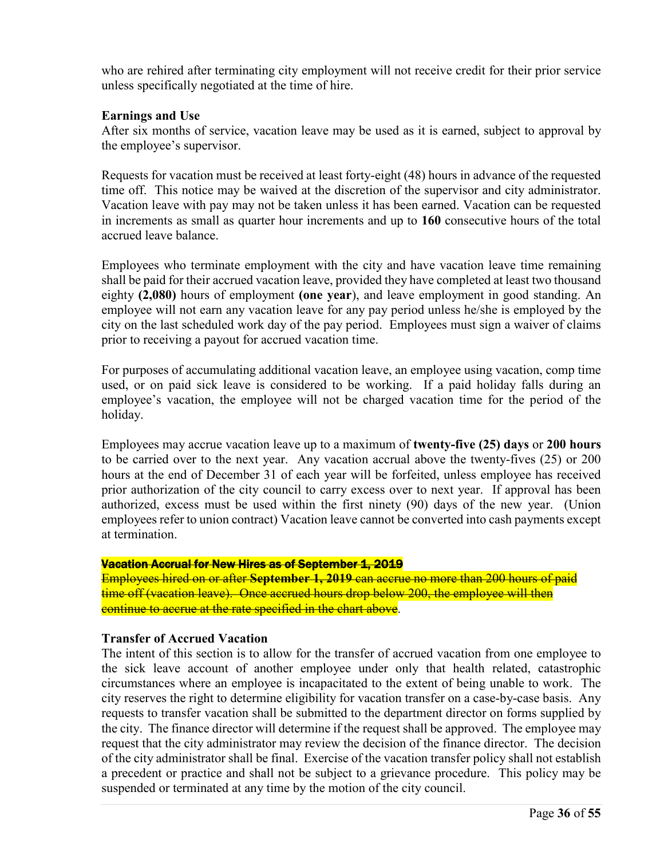who are rehired after terminating city employment will not receive credit for their prior service unless specifically negotiated at the time of hire.

#### **Earnings and Use**

After six months of service, vacation leave may be used as it is earned, subject to approval by the employee's supervisor.

Requests for vacation must be received at least forty-eight (48) hours in advance of the requested time off. This notice may be waived at the discretion of the supervisor and city administrator. Vacation leave with pay may not be taken unless it has been earned. Vacation can be requested in increments as small as quarter hour increments and up to **160** consecutive hours of the total accrued leave balance.

Employees who terminate employment with the city and have vacation leave time remaining shall be paid for their accrued vacation leave, provided they have completed at least two thousand eighty **(2,080)** hours of employment **(one year**), and leave employment in good standing. An employee will not earn any vacation leave for any pay period unless he/she is employed by the city on the last scheduled work day of the pay period. Employees must sign a waiver of claims prior to receiving a payout for accrued vacation time.

For purposes of accumulating additional vacation leave, an employee using vacation, comp time used, or on paid sick leave is considered to be working. If a paid holiday falls during an employee's vacation, the employee will not be charged vacation time for the period of the holiday.

Employees may accrue vacation leave up to a maximum of **twenty-five (25) days** or **200 hours** to be carried over to the next year. Any vacation accrual above the twenty-fives (25) or 200 hours at the end of December 31 of each year will be forfeited, unless employee has received prior authorization of the city council to carry excess over to next year. If approval has been authorized, excess must be used within the first ninety (90) days of the new year. (Union employees refer to union contract) Vacation leave cannot be converted into cash payments except at termination.

#### Vacation Accrual for New Hires as of September 1, 2019

Employees hired on or after **September 1, 2019** can accrue no more than 200 hours of paid time off (vacation leave). Once accrued hours drop below 200, the employee will then continue to accrue at the rate specified in the chart above.

#### **Transfer of Accrued Vacation**

The intent of this section is to allow for the transfer of accrued vacation from one employee to the sick leave account of another employee under only that health related, catastrophic circumstances where an employee is incapacitated to the extent of being unable to work. The city reserves the right to determine eligibility for vacation transfer on a case-by-case basis. Any requests to transfer vacation shall be submitted to the department director on forms supplied by the city. The finance director will determine if the request shall be approved. The employee may request that the city administrator may review the decision of the finance director. The decision of the city administrator shall be final. Exercise of the vacation transfer policy shall not establish a precedent or practice and shall not be subject to a grievance procedure. This policy may be suspended or terminated at any time by the motion of the city council.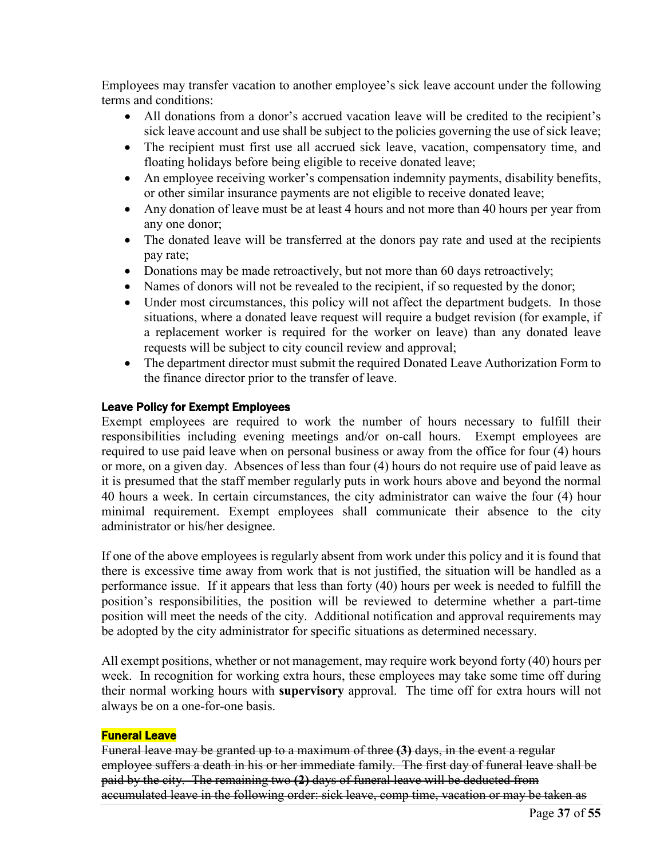Employees may transfer vacation to another employee's sick leave account under the following terms and conditions:

- All donations from a donor's accrued vacation leave will be credited to the recipient's sick leave account and use shall be subject to the policies governing the use of sick leave;
- The recipient must first use all accrued sick leave, vacation, compensatory time, and floating holidays before being eligible to receive donated leave;
- An employee receiving worker's compensation indemnity payments, disability benefits, or other similar insurance payments are not eligible to receive donated leave;
- Any donation of leave must be at least 4 hours and not more than 40 hours per year from any one donor;
- The donated leave will be transferred at the donors pay rate and used at the recipients pay rate;
- Donations may be made retroactively, but not more than 60 days retroactively;
- Names of donors will not be revealed to the recipient, if so requested by the donor;
- Under most circumstances, this policy will not affect the department budgets. In those situations, where a donated leave request will require a budget revision (for example, if a replacement worker is required for the worker on leave) than any donated leave requests will be subject to city council review and approval;
- The department director must submit the required Donated Leave Authorization Form to the finance director prior to the transfer of leave.

#### Leave Policy for Exempt Employees

Exempt employees are required to work the number of hours necessary to fulfill their responsibilities including evening meetings and/or on-call hours. Exempt employees are required to use paid leave when on personal business or away from the office for four (4) hours or more, on a given day. Absences of less than four (4) hours do not require use of paid leave as it is presumed that the staff member regularly puts in work hours above and beyond the normal 40 hours a week. In certain circumstances, the city administrator can waive the four (4) hour minimal requirement. Exempt employees shall communicate their absence to the city administrator or his/her designee.

If one of the above employees is regularly absent from work under this policy and it is found that there is excessive time away from work that is not justified, the situation will be handled as a performance issue. If it appears that less than forty (40) hours per week is needed to fulfill the position's responsibilities, the position will be reviewed to determine whether a part-time position will meet the needs of the city. Additional notification and approval requirements may be adopted by the city administrator for specific situations as determined necessary.

All exempt positions, whether or not management, may require work beyond forty (40) hours per week. In recognition for working extra hours, these employees may take some time off during their normal working hours with **supervisory** approval. The time off for extra hours will not always be on a one-for-one basis.

#### Funeral Leave

Funeral leave may be granted up to a maximum of three **(3)** days, in the event a regular employee suffers a death in his or her immediate family. The first day of funeral leave shall be paid by the city. The remaining two **(2)** days of funeral leave will be deducted from accumulated leave in the following order: sick leave, comp time, vacation or may be taken as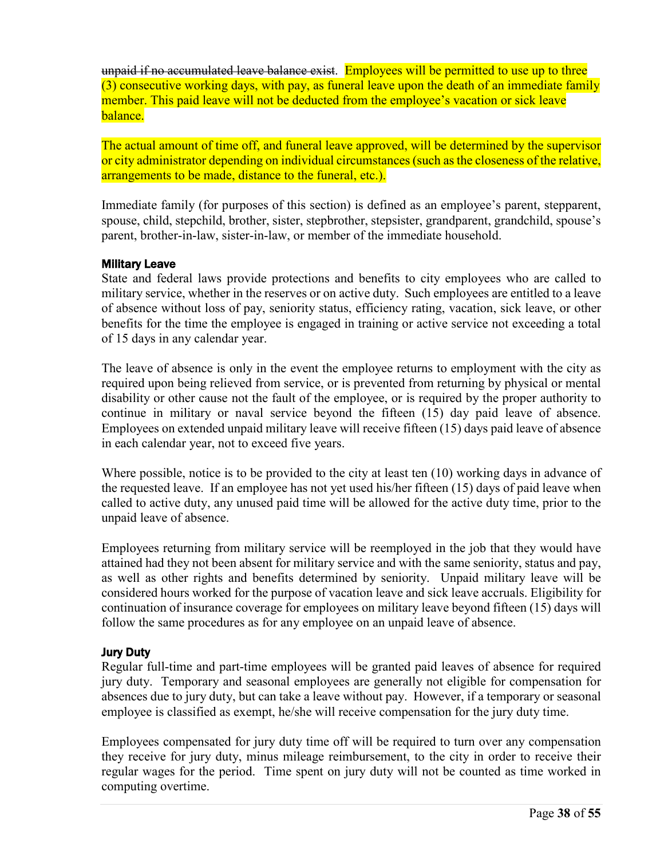unpaid if no accumulated leave balance exist. Employees will be permitted to use up to three (3) consecutive working days, with pay, as funeral leave upon the death of an immediate family member. This paid leave will not be deducted from the employee's vacation or sick leave balance.

The actual amount of time off, and funeral leave approved, will be determined by the supervisor or city administrator depending on individual circumstances (such as the closeness of the relative, arrangements to be made, distance to the funeral, etc.).

Immediate family (for purposes of this section) is defined as an employee's parent, stepparent, spouse, child, stepchild, brother, sister, stepbrother, stepsister, grandparent, grandchild, spouse's parent, brother-in-law, sister-in-law, or member of the immediate household.

#### Military Leave

State and federal laws provide protections and benefits to city employees who are called to military service, whether in the reserves or on active duty. Such employees are entitled to a leave of absence without loss of pay, seniority status, efficiency rating, vacation, sick leave, or other benefits for the time the employee is engaged in training or active service not exceeding a total of 15 days in any calendar year.

The leave of absence is only in the event the employee returns to employment with the city as required upon being relieved from service, or is prevented from returning by physical or mental disability or other cause not the fault of the employee, or is required by the proper authority to continue in military or naval service beyond the fifteen (15) day paid leave of absence. Employees on extended unpaid military leave will receive fifteen (15) days paid leave of absence in each calendar year, not to exceed five years.

Where possible, notice is to be provided to the city at least ten (10) working days in advance of the requested leave. If an employee has not yet used his/her fifteen (15) days of paid leave when called to active duty, any unused paid time will be allowed for the active duty time, prior to the unpaid leave of absence.

Employees returning from military service will be reemployed in the job that they would have attained had they not been absent for military service and with the same seniority, status and pay, as well as other rights and benefits determined by seniority. Unpaid military leave will be considered hours worked for the purpose of vacation leave and sick leave accruals. Eligibility for continuation of insurance coverage for employees on military leave beyond fifteen (15) days will follow the same procedures as for any employee on an unpaid leave of absence.

#### Jury Duty

Regular full-time and part-time employees will be granted paid leaves of absence for required jury duty. Temporary and seasonal employees are generally not eligible for compensation for absences due to jury duty, but can take a leave without pay. However, if a temporary or seasonal employee is classified as exempt, he/she will receive compensation for the jury duty time.

Employees compensated for jury duty time off will be required to turn over any compensation they receive for jury duty, minus mileage reimbursement, to the city in order to receive their regular wages for the period. Time spent on jury duty will not be counted as time worked in computing overtime.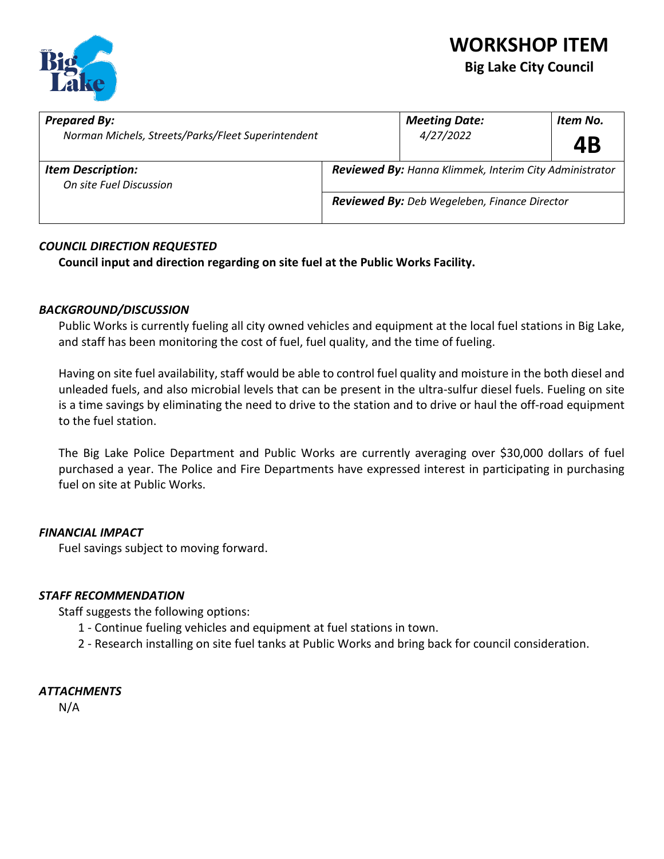

| <b>Prepared By:</b><br>Norman Michels, Streets/Parks/Fleet Superintendent | <b>Meeting Date:</b><br>4/27/2022                             | Item No.<br>4B |  |
|---------------------------------------------------------------------------|---------------------------------------------------------------|----------------|--|
| <b>Item Description:</b><br>On site Fuel Discussion                       | <b>Reviewed By: Hanna Klimmek, Interim City Administrator</b> |                |  |
|                                                                           | Reviewed By: Deb Wegeleben, Finance Director                  |                |  |

#### *COUNCIL DIRECTION REQUESTED*

**Council input and direction regarding on site fuel at the Public Works Facility.**

#### *BACKGROUND/DISCUSSION*

Public Works is currently fueling all city owned vehicles and equipment at the local fuel stations in Big Lake, and staff has been monitoring the cost of fuel, fuel quality, and the time of fueling.

Having on site fuel availability, staff would be able to control fuel quality and moisture in the both diesel and unleaded fuels, and also microbial levels that can be present in the ultra-sulfur diesel fuels. Fueling on site is a time savings by eliminating the need to drive to the station and to drive or haul the off-road equipment to the fuel station.

The Big Lake Police Department and Public Works are currently averaging over \$30,000 dollars of fuel purchased a year. The Police and Fire Departments have expressed interest in participating in purchasing fuel on site at Public Works.

#### *FINANCIAL IMPACT*

Fuel savings subject to moving forward.

#### *STAFF RECOMMENDATION*

Staff suggests the following options:

- 1 Continue fueling vehicles and equipment at fuel stations in town.
- 2 Research installing on site fuel tanks at Public Works and bring back for council consideration.

#### *ATTACHMENTS*

N/A